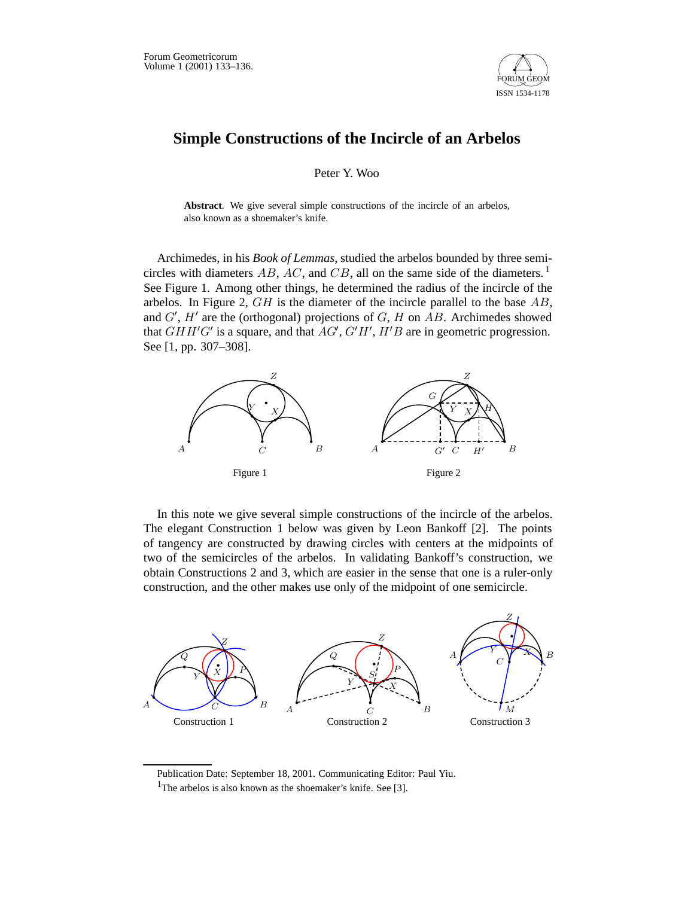

## **Simple Constructions of the Incircle of an Arbelos**

Peter Y. Woo

**Abstract**. We give several simple constructions of the incircle of an arbelos, also known as a shoemaker's knife.

Archimedes, in his *Book of Lemmas*, studied the arbelos bounded by three semicircles with diameters AB, AC, and CB, all on the same side of the diameters.<sup>1</sup> See Figure 1. Among other things, he determined the radius of the incircle of the arbelos. In Figure 2,  $GH$  is the diameter of the incircle parallel to the base  $AB$ , and  $G'$ ,  $H'$  are the (orthogonal) projections of  $G$ ,  $H$  on  $AB$ . Archimedes showed that  $GHH'G'$  is a square, and that  $AG', G'H', H'B$  are in geometric progression. See [1, pp. 307–308].



In this note we give several simple constructions of the incircle of the arbelos. The elegant Construction 1 below was given by Leon Bankoff [2]. The points of tangency are constructed by drawing circles with centers at the midpoints of two of the semicircles of the arbelos. In validating Bankoff's construction, we obtain Constructions 2 and 3, which are easier in the sense that one is a ruler-only construction, and the other makes use only of the midpoint of one semicircle.



Publication Date: September 18, 2001. Communicating Editor: Paul Yiu.

<sup>&</sup>lt;sup>1</sup>The arbelos is also known as the shoemaker's knife. See [3].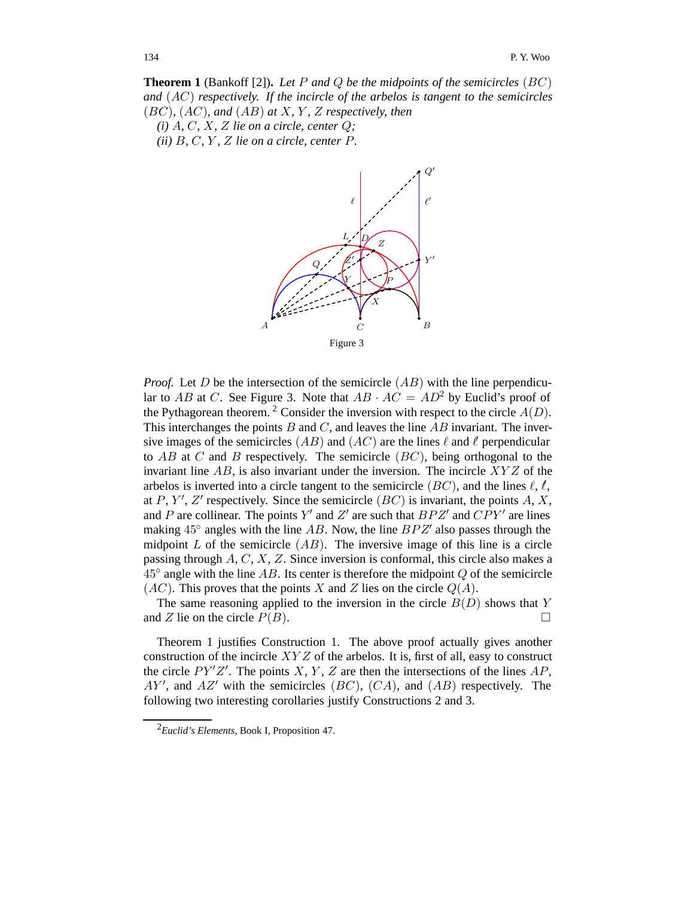**Theorem 1** (Bankoff [2])**.** *Let* P *and* Q *be the midpoints of the semicircles* (BC) *and* (AC) *respectively. If the incircle of the arbelos is tangent to the semicircles* (BC)*,* (AC)*, and* (AB) *at* X*,* Y *,* Z *respectively, then*

 $(i)$  A, C, X, Z lie on a circle, center  $Q$ ;

*(ii)*  $B$ *, C,*  $Y$ *, Z lie on a circle, center*  $P$ *.* 



*Proof.* Let  $D$  be the intersection of the semicircle  $(AB)$  with the line perpendicular to AB at C. See Figure 3. Note that  $AB \cdot AC = AD^2$  by Euclid's proof of the Pythagorean theorem.<sup>2</sup> Consider the inversion with respect to the circle  $A(D)$ . This interchanges the points  $B$  and  $C$ , and leaves the line  $AB$  invariant. The inversive images of the semicircles  $(AB)$  and  $(AC)$  are the lines  $\ell$  and  $\ell$  perpendicular to  $AB$  at C and B respectively. The semicircle  $(BC)$ , being orthogonal to the invariant line  $AB$ , is also invariant under the inversion. The incircle  $XYZ$  of the arbelos is inverted into a circle tangent to the semicircle  $(BC)$ , and the lines  $\ell, \ell$ , at P, Y', Z' respectively. Since the semicircle  $(BC)$  is invariant, the points A, X, and P are collinear. The points Y' and Z' are such that  $BPZ'$  and  $CPY'$  are lines making  $45^\circ$  angles with the line AB. Now, the line  $BPZ'$  also passes through the midpoint  $L$  of the semicircle  $(AB)$ . The inversive image of this line is a circle passing through  $A, C, X, Z$ . Since inversion is conformal, this circle also makes a  $45^\circ$  angle with the line AB. Its center is therefore the midpoint Q of the semicircle  $(AC)$ . This proves that the points X and Z lies on the circle  $Q(A)$ .

The same reasoning applied to the inversion in the circle  $B(D)$  shows that Y and Z lie on the circle  $P(B)$ .

Theorem 1 justifies Construction 1. The above proof actually gives another construction of the incircle  $XYZ$  of the arbelos. It is, first of all, easy to construct the circle  $PY'Z'$ . The points X, Y, Z are then the intersections of the lines  $AP$ ,  $AY'$ , and  $AZ'$  with the semicircles  $(BC)$ ,  $(CA)$ , and  $(AB)$  respectively. The following two interesting corollaries justify Constructions 2 and 3.

<sup>2</sup>*Euclid's Elements*, Book I, Proposition 47.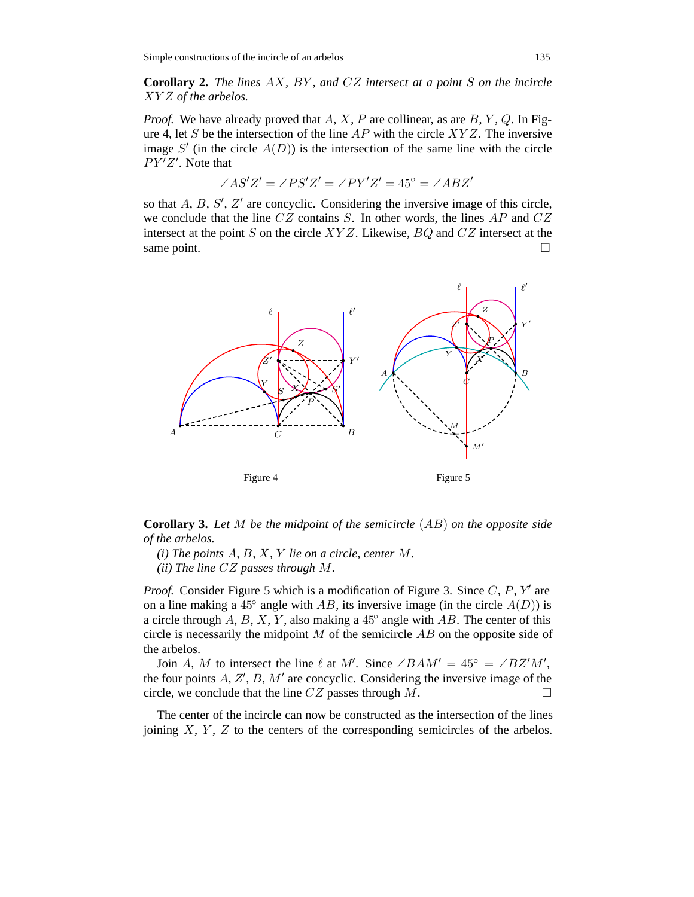**Corollary 2.** *The lines* AX*,* BY *, and* CZ *intersect at a point* S *on the incircle* XY Z *of the arbelos.*

*Proof.* We have already proved that  $A, X, P$  are collinear, as are  $B, Y, Q$ . In Figure 4, let S be the intersection of the line  $AP$  with the circle  $XYZ$ . The inversive image  $S'$  (in the circle  $A(D)$ ) is the intersection of the same line with the circle  $PY'Z'$ . Note that

$$
\angle AS'Z' = \angle PS'Z' = \angle PY'Z' = 45^{\circ} = \angle ABZ'
$$

so that  $A$ ,  $B$ ,  $S'$ ,  $Z'$  are concyclic. Considering the inversive image of this circle, we conclude that the line  $CZ$  contains  $S$ . In other words, the lines  $AP$  and  $CZ$ intersect at the point S on the circle  $XYZ$ . Likewise,  $BQ$  and  $CZ$  intersect at the same point.  $\square$ 



**Corollary 3.** *Let* M *be the midpoint of the semicircle* (AB) *on the opposite side of the arbelos.*

*(i) The points* A*,* B*,* X*,* Y *lie on a circle, center* M*.*

*(ii) The line* CZ *passes through* M*.*

*Proof.* Consider Figure 5 which is a modification of Figure 3. Since C, P, Y' are on a line making a 45 $\degree$  angle with AB, its inversive image (in the circle  $A(D)$ ) is a circle through A, B, X, Y, also making a  $45^\circ$  angle with AB. The center of this circle is necessarily the midpoint  $M$  of the semicircle  $AB$  on the opposite side of the arbelos.

Join A, M to intersect the line  $\ell$  at M'. Since  $\angle BAM' = 45^{\circ} = \angle BZ'M'$ , the four points  $A, Z', B, M'$  are concyclic. Considering the inversive image of the circle, we conclude that the line  $CZ$  passes through M.

The center of the incircle can now be constructed as the intersection of the lines joining  $X, Y, Z$  to the centers of the corresponding semicircles of the arbelos.